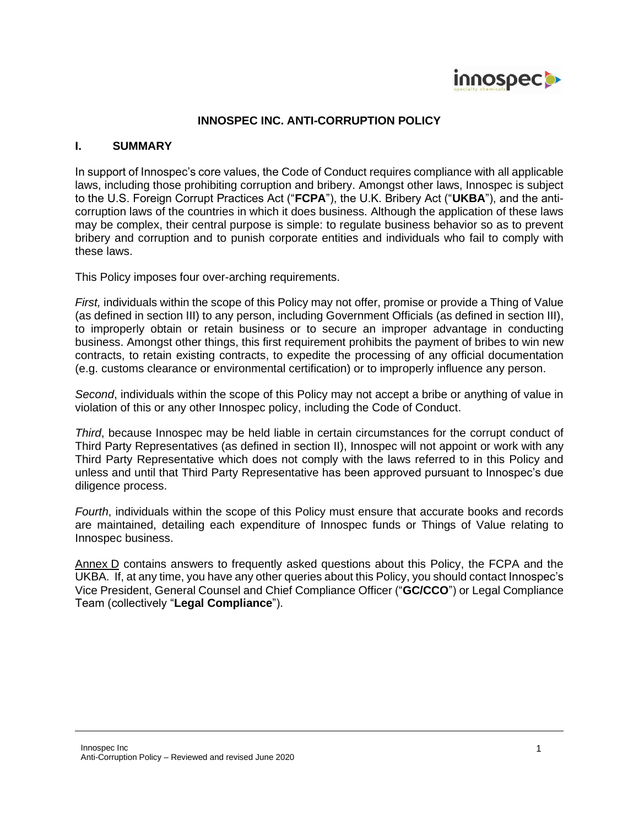

### **INNOSPEC INC. ANTI-CORRUPTION POLICY**

#### **I. SUMMARY**

In support of Innospec's core values, the Code of Conduct requires compliance with all applicable laws, including those prohibiting corruption and bribery. Amongst other laws, Innospec is subject to the U.S. Foreign Corrupt Practices Act ("**FCPA**"), the U.K. Bribery Act ("**UKBA**"), and the anticorruption laws of the countries in which it does business. Although the application of these laws may be complex, their central purpose is simple: to regulate business behavior so as to prevent bribery and corruption and to punish corporate entities and individuals who fail to comply with these laws.

This Policy imposes four over-arching requirements.

*First,* individuals within the scope of this Policy may not offer, promise or provide a Thing of Value (as defined in section III) to any person, including Government Officials (as defined in section III), to improperly obtain or retain business or to secure an improper advantage in conducting business. Amongst other things, this first requirement prohibits the payment of bribes to win new contracts, to retain existing contracts, to expedite the processing of any official documentation (e.g. customs clearance or environmental certification) or to improperly influence any person.

*Second*, individuals within the scope of this Policy may not accept a bribe or anything of value in violation of this or any other Innospec policy, including the Code of Conduct.

*Third*, because Innospec may be held liable in certain circumstances for the corrupt conduct of Third Party Representatives (as defined in section II), Innospec will not appoint or work with any Third Party Representative which does not comply with the laws referred to in this Policy and unless and until that Third Party Representative has been approved pursuant to Innospec's due diligence process.

*Fourth*, individuals within the scope of this Policy must ensure that accurate books and records are maintained, detailing each expenditure of Innospec funds or Things of Value relating to Innospec business.

Annex D contains answers to frequently asked questions about this Policy, the FCPA and the UKBA. If, at any time, you have any other queries about this Policy, you should contact Innospec's Vice President, General Counsel and Chief Compliance Officer ("**GC/CCO**") or Legal Compliance Team (collectively "**Legal Compliance**").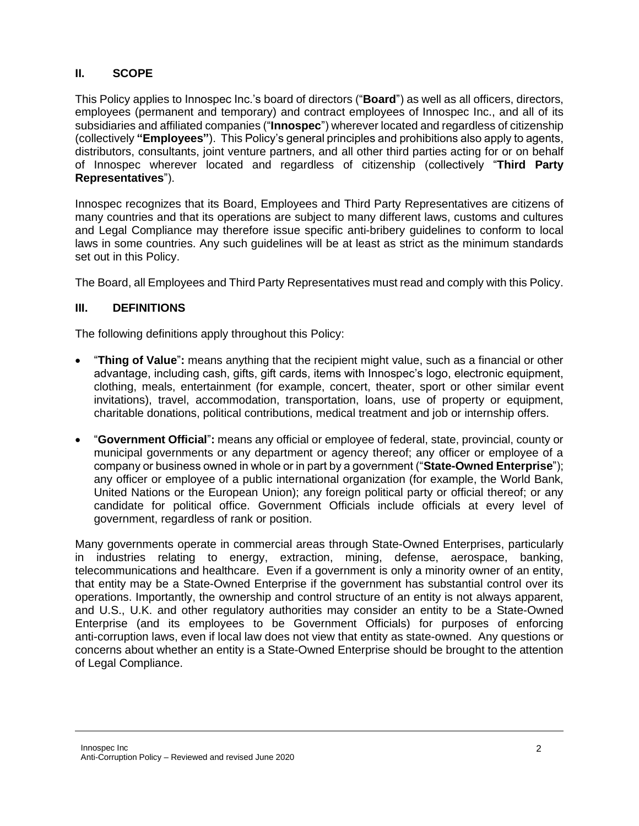### **II. SCOPE**

This Policy applies to Innospec Inc.'s board of directors ("**Board**") as well as all officers, directors, employees (permanent and temporary) and contract employees of Innospec Inc., and all of its subsidiaries and affiliated companies ("**Innospec**") wherever located and regardless of citizenship (collectively **"Employees"**). This Policy's general principles and prohibitions also apply to agents, distributors, consultants, joint venture partners, and all other third parties acting for or on behalf of Innospec wherever located and regardless of citizenship (collectively "**Third Party Representatives**").

Innospec recognizes that its Board, Employees and Third Party Representatives are citizens of many countries and that its operations are subject to many different laws, customs and cultures and Legal Compliance may therefore issue specific anti-bribery guidelines to conform to local laws in some countries. Any such guidelines will be at least as strict as the minimum standards set out in this Policy.

The Board, all Employees and Third Party Representatives must read and comply with this Policy.

### **III. DEFINITIONS**

The following definitions apply throughout this Policy:

- "**Thing of Value**"**:** means anything that the recipient might value, such as a financial or other advantage, including cash, gifts, gift cards, items with Innospec's logo, electronic equipment, clothing, meals, entertainment (for example, concert, theater, sport or other similar event invitations), travel, accommodation, transportation, loans, use of property or equipment, charitable donations, political contributions, medical treatment and job or internship offers.
- "**Government Official**"**:** means any official or employee of federal, state, provincial, county or municipal governments or any department or agency thereof; any officer or employee of a company or business owned in whole or in part by a government ("**State-Owned Enterprise**"); any officer or employee of a public international organization (for example, the World Bank, United Nations or the European Union); any foreign political party or official thereof; or any candidate for political office. Government Officials include officials at every level of government, regardless of rank or position.

Many governments operate in commercial areas through State-Owned Enterprises, particularly in industries relating to energy, extraction, mining, defense, aerospace, banking, telecommunications and healthcare. Even if a government is only a minority owner of an entity, that entity may be a State-Owned Enterprise if the government has substantial control over its operations. Importantly, the ownership and control structure of an entity is not always apparent, and U.S., U.K. and other regulatory authorities may consider an entity to be a State-Owned Enterprise (and its employees to be Government Officials) for purposes of enforcing anti-corruption laws, even if local law does not view that entity as state-owned. Any questions or concerns about whether an entity is a State-Owned Enterprise should be brought to the attention of Legal Compliance.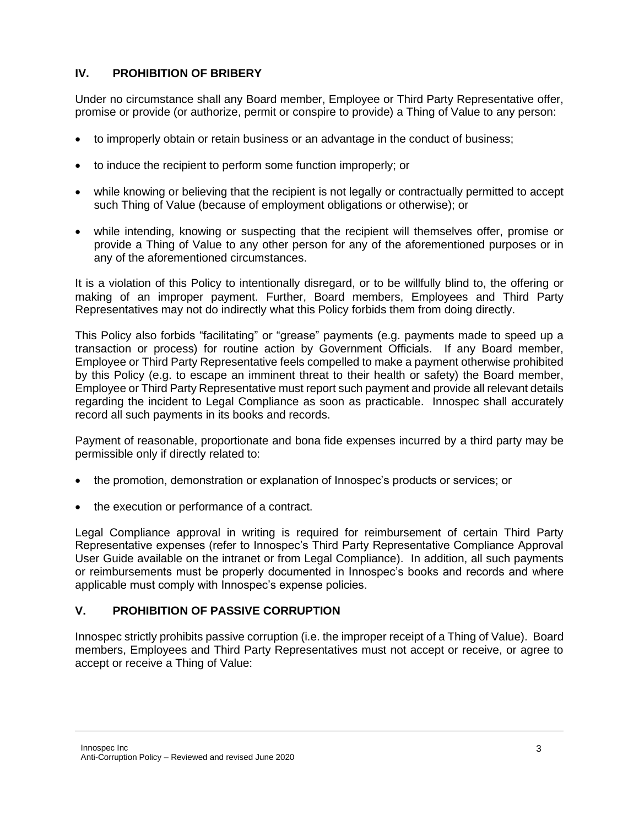## **IV. PROHIBITION OF BRIBERY**

Under no circumstance shall any Board member, Employee or Third Party Representative offer, promise or provide (or authorize, permit or conspire to provide) a Thing of Value to any person:

- to improperly obtain or retain business or an advantage in the conduct of business;
- to induce the recipient to perform some function improperly; or
- while knowing or believing that the recipient is not legally or contractually permitted to accept such Thing of Value (because of employment obligations or otherwise); or
- while intending, knowing or suspecting that the recipient will themselves offer, promise or provide a Thing of Value to any other person for any of the aforementioned purposes or in any of the aforementioned circumstances.

It is a violation of this Policy to intentionally disregard, or to be willfully blind to, the offering or making of an improper payment. Further, Board members, Employees and Third Party Representatives may not do indirectly what this Policy forbids them from doing directly.

This Policy also forbids "facilitating" or "grease" payments (e.g. payments made to speed up a transaction or process) for routine action by Government Officials. If any Board member, Employee or Third Party Representative feels compelled to make a payment otherwise prohibited by this Policy (e.g. to escape an imminent threat to their health or safety) the Board member, Employee or Third Party Representative must report such payment and provide all relevant details regarding the incident to Legal Compliance as soon as practicable. Innospec shall accurately record all such payments in its books and records.

Payment of reasonable, proportionate and bona fide expenses incurred by a third party may be permissible only if directly related to:

- the promotion, demonstration or explanation of Innospec's products or services; or
- the execution or performance of a contract.

Legal Compliance approval in writing is required for reimbursement of certain Third Party Representative expenses (refer to Innospec's Third Party Representative Compliance Approval User Guide available on the intranet or from Legal Compliance). In addition, all such payments or reimbursements must be properly documented in Innospec's books and records and where applicable must comply with Innospec's expense policies.

### **V. PROHIBITION OF PASSIVE CORRUPTION**

Innospec strictly prohibits passive corruption (i.e. the improper receipt of a Thing of Value). Board members, Employees and Third Party Representatives must not accept or receive, or agree to accept or receive a Thing of Value: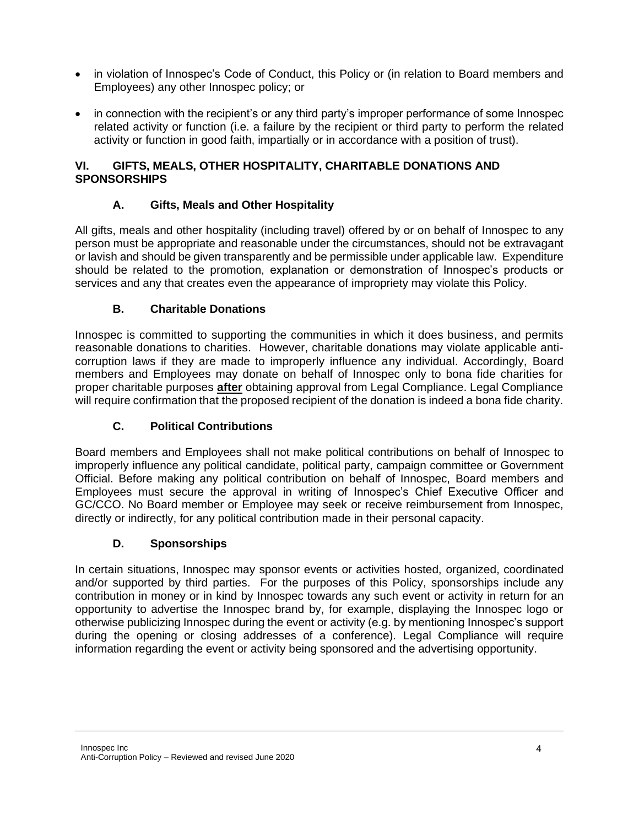- in violation of Innospec's Code of Conduct, this Policy or (in relation to Board members and Employees) any other Innospec policy; or
- in connection with the recipient's or any third party's improper performance of some Innospec related activity or function (i.e. a failure by the recipient or third party to perform the related activity or function in good faith, impartially or in accordance with a position of trust).

### **VI. GIFTS, MEALS, OTHER HOSPITALITY, CHARITABLE DONATIONS AND SPONSORSHIPS**

## **A. Gifts, Meals and Other Hospitality**

All gifts, meals and other hospitality (including travel) offered by or on behalf of Innospec to any person must be appropriate and reasonable under the circumstances, should not be extravagant or lavish and should be given transparently and be permissible under applicable law. Expenditure should be related to the promotion, explanation or demonstration of Innospec's products or services and any that creates even the appearance of impropriety may violate this Policy.

### **B. Charitable Donations**

Innospec is committed to supporting the communities in which it does business, and permits reasonable donations to charities. However, charitable donations may violate applicable anticorruption laws if they are made to improperly influence any individual. Accordingly, Board members and Employees may donate on behalf of Innospec only to bona fide charities for proper charitable purposes **after** obtaining approval from Legal Compliance. Legal Compliance will require confirmation that the proposed recipient of the donation is indeed a bona fide charity.

### **C. Political Contributions**

Board members and Employees shall not make political contributions on behalf of Innospec to improperly influence any political candidate, political party, campaign committee or Government Official. Before making any political contribution on behalf of Innospec, Board members and Employees must secure the approval in writing of Innospec's Chief Executive Officer and GC/CCO. No Board member or Employee may seek or receive reimbursement from Innospec, directly or indirectly, for any political contribution made in their personal capacity.

### **D. Sponsorships**

In certain situations, Innospec may sponsor events or activities hosted, organized, coordinated and/or supported by third parties. For the purposes of this Policy, sponsorships include any contribution in money or in kind by Innospec towards any such event or activity in return for an opportunity to advertise the Innospec brand by, for example, displaying the Innospec logo or otherwise publicizing Innospec during the event or activity (e.g. by mentioning Innospec's support during the opening or closing addresses of a conference). Legal Compliance will require information regarding the event or activity being sponsored and the advertising opportunity.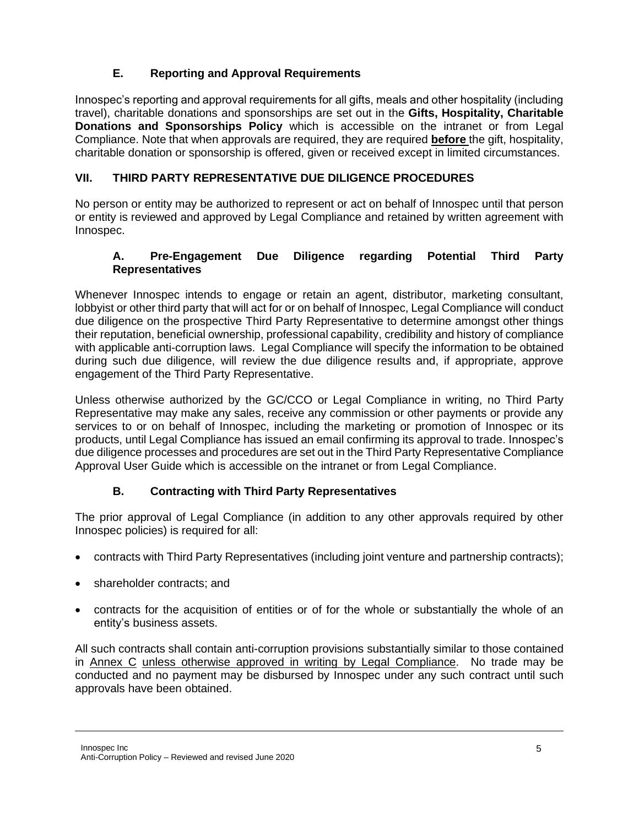# **E. Reporting and Approval Requirements**

Innospec's reporting and approval requirements for all gifts, meals and other hospitality (including travel), charitable donations and sponsorships are set out in the **Gifts, Hospitality, Charitable Donations and Sponsorships Policy** which is accessible on the intranet or from Legal Compliance. Note that when approvals are required, they are required **before** the gift, hospitality, charitable donation or sponsorship is offered, given or received except in limited circumstances.

## **VII. THIRD PARTY REPRESENTATIVE DUE DILIGENCE PROCEDURES**

No person or entity may be authorized to represent or act on behalf of Innospec until that person or entity is reviewed and approved by Legal Compliance and retained by written agreement with Innospec.

### **A. Pre-Engagement Due Diligence regarding Potential Third Party Representatives**

Whenever Innospec intends to engage or retain an agent, distributor, marketing consultant, lobbyist or other third party that will act for or on behalf of Innospec, Legal Compliance will conduct due diligence on the prospective Third Party Representative to determine amongst other things their reputation, beneficial ownership, professional capability, credibility and history of compliance with applicable anti-corruption laws. Legal Compliance will specify the information to be obtained during such due diligence, will review the due diligence results and, if appropriate, approve engagement of the Third Party Representative.

Unless otherwise authorized by the GC/CCO or Legal Compliance in writing, no Third Party Representative may make any sales, receive any commission or other payments or provide any services to or on behalf of Innospec, including the marketing or promotion of Innospec or its products, until Legal Compliance has issued an email confirming its approval to trade. Innospec's due diligence processes and procedures are set out in the Third Party Representative Compliance Approval User Guide which is accessible on the intranet or from Legal Compliance.

# **B. Contracting with Third Party Representatives**

The prior approval of Legal Compliance (in addition to any other approvals required by other Innospec policies) is required for all:

- contracts with Third Party Representatives (including joint venture and partnership contracts);
- shareholder contracts; and
- contracts for the acquisition of entities or of for the whole or substantially the whole of an entity's business assets.

All such contracts shall contain anti-corruption provisions substantially similar to those contained in Annex C unless otherwise approved in writing by Legal Compliance. No trade may be conducted and no payment may be disbursed by Innospec under any such contract until such approvals have been obtained.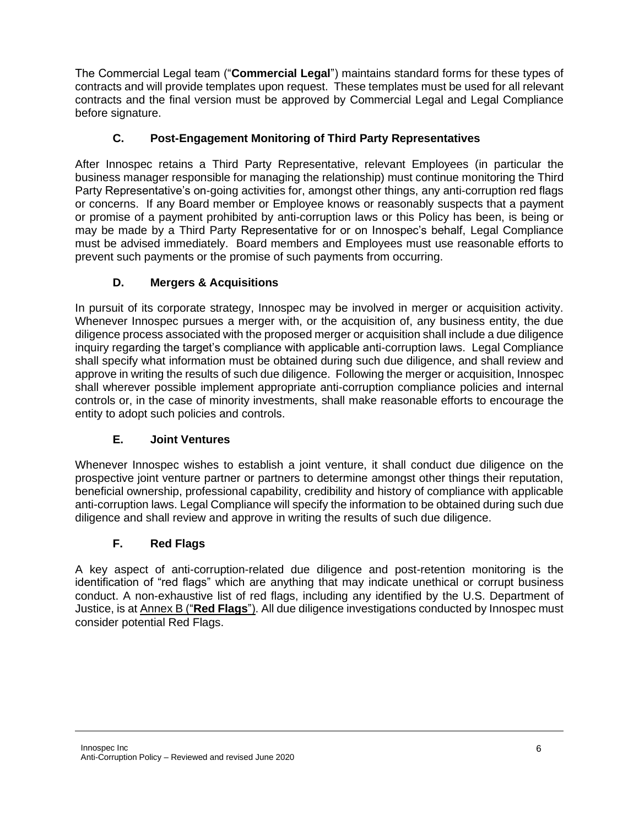The Commercial Legal team ("**Commercial Legal**") maintains standard forms for these types of contracts and will provide templates upon request. These templates must be used for all relevant contracts and the final version must be approved by Commercial Legal and Legal Compliance before signature.

# **C. Post-Engagement Monitoring of Third Party Representatives**

After Innospec retains a Third Party Representative, relevant Employees (in particular the business manager responsible for managing the relationship) must continue monitoring the Third Party Representative's on-going activities for, amongst other things, any anti-corruption red flags or concerns. If any Board member or Employee knows or reasonably suspects that a payment or promise of a payment prohibited by anti-corruption laws or this Policy has been, is being or may be made by a Third Party Representative for or on Innospec's behalf, Legal Compliance must be advised immediately. Board members and Employees must use reasonable efforts to prevent such payments or the promise of such payments from occurring.

# **D. Mergers & Acquisitions**

In pursuit of its corporate strategy, Innospec may be involved in merger or acquisition activity. Whenever Innospec pursues a merger with, or the acquisition of, any business entity, the due diligence process associated with the proposed merger or acquisition shall include a due diligence inquiry regarding the target's compliance with applicable anti-corruption laws. Legal Compliance shall specify what information must be obtained during such due diligence, and shall review and approve in writing the results of such due diligence. Following the merger or acquisition, Innospec shall wherever possible implement appropriate anti-corruption compliance policies and internal controls or, in the case of minority investments, shall make reasonable efforts to encourage the entity to adopt such policies and controls.

# **E. Joint Ventures**

Whenever Innospec wishes to establish a joint venture, it shall conduct due diligence on the prospective joint venture partner or partners to determine amongst other things their reputation, beneficial ownership, professional capability, credibility and history of compliance with applicable anti-corruption laws. Legal Compliance will specify the information to be obtained during such due diligence and shall review and approve in writing the results of such due diligence.

### **F. Red Flags**

A key aspect of anti-corruption-related due diligence and post-retention monitoring is the identification of "red flags" which are anything that may indicate unethical or corrupt business conduct. A non-exhaustive list of red flags, including any identified by the U.S. Department of Justice, is at Annex B ("**Red Flags**"). All due diligence investigations conducted by Innospec must consider potential Red Flags.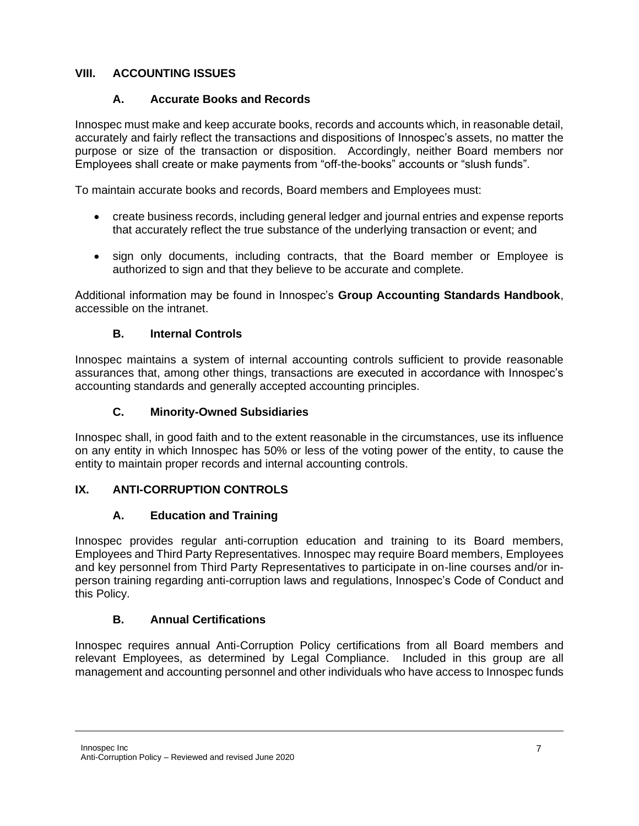# **VIII. ACCOUNTING ISSUES**

## **A. Accurate Books and Records**

Innospec must make and keep accurate books, records and accounts which, in reasonable detail, accurately and fairly reflect the transactions and dispositions of Innospec's assets, no matter the purpose or size of the transaction or disposition. Accordingly, neither Board members nor Employees shall create or make payments from "off-the-books" accounts or "slush funds".

To maintain accurate books and records, Board members and Employees must:

- create business records, including general ledger and journal entries and expense reports that accurately reflect the true substance of the underlying transaction or event; and
- sign only documents, including contracts, that the Board member or Employee is authorized to sign and that they believe to be accurate and complete.

Additional information may be found in Innospec's **Group Accounting Standards Handbook**, accessible on the intranet.

### **B. Internal Controls**

Innospec maintains a system of internal accounting controls sufficient to provide reasonable assurances that, among other things, transactions are executed in accordance with Innospec's accounting standards and generally accepted accounting principles.

## **C. Minority-Owned Subsidiaries**

Innospec shall, in good faith and to the extent reasonable in the circumstances, use its influence on any entity in which Innospec has 50% or less of the voting power of the entity, to cause the entity to maintain proper records and internal accounting controls.

# **IX. ANTI-CORRUPTION CONTROLS**

### **A. Education and Training**

Innospec provides regular anti-corruption education and training to its Board members, Employees and Third Party Representatives. Innospec may require Board members, Employees and key personnel from Third Party Representatives to participate in on-line courses and/or inperson training regarding anti-corruption laws and regulations, Innospec's Code of Conduct and this Policy.

### **B. Annual Certifications**

Innospec requires annual Anti-Corruption Policy certifications from all Board members and relevant Employees, as determined by Legal Compliance. Included in this group are all management and accounting personnel and other individuals who have access to Innospec funds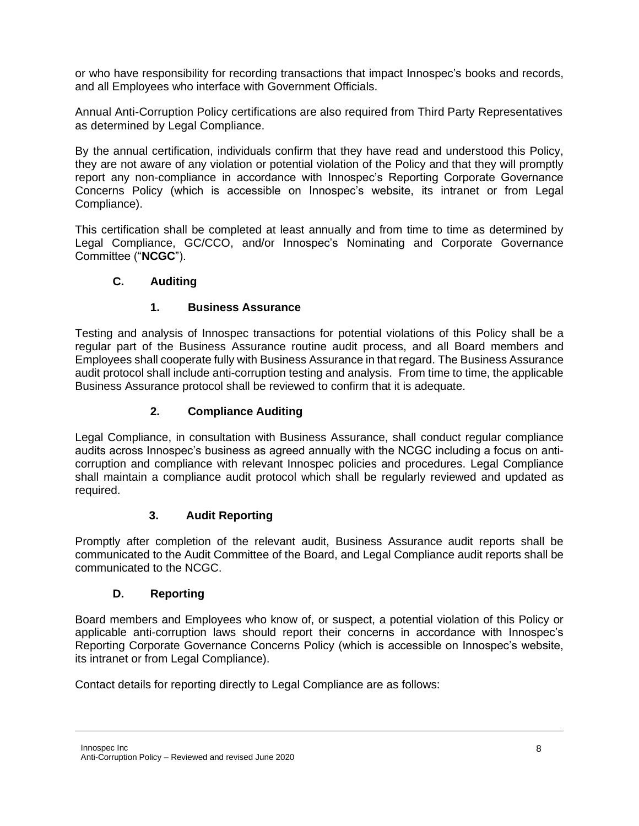or who have responsibility for recording transactions that impact Innospec's books and records, and all Employees who interface with Government Officials.

Annual Anti-Corruption Policy certifications are also required from Third Party Representatives as determined by Legal Compliance.

By the annual certification, individuals confirm that they have read and understood this Policy, they are not aware of any violation or potential violation of the Policy and that they will promptly report any non-compliance in accordance with Innospec's Reporting Corporate Governance Concerns Policy (which is accessible on Innospec's website, its intranet or from Legal Compliance).

This certification shall be completed at least annually and from time to time as determined by Legal Compliance, GC/CCO, and/or Innospec's Nominating and Corporate Governance Committee ("**NCGC**").

### **C. Auditing**

### **1. Business Assurance**

Testing and analysis of Innospec transactions for potential violations of this Policy shall be a regular part of the Business Assurance routine audit process, and all Board members and Employees shall cooperate fully with Business Assurance in that regard. The Business Assurance audit protocol shall include anti-corruption testing and analysis. From time to time, the applicable Business Assurance protocol shall be reviewed to confirm that it is adequate.

## **2. Compliance Auditing**

Legal Compliance, in consultation with Business Assurance, shall conduct regular compliance audits across Innospec's business as agreed annually with the NCGC including a focus on anticorruption and compliance with relevant Innospec policies and procedures. Legal Compliance shall maintain a compliance audit protocol which shall be regularly reviewed and updated as required.

### **3. Audit Reporting**

Promptly after completion of the relevant audit, Business Assurance audit reports shall be communicated to the Audit Committee of the Board, and Legal Compliance audit reports shall be communicated to the NCGC.

### **D. Reporting**

Board members and Employees who know of, or suspect, a potential violation of this Policy or applicable anti-corruption laws should report their concerns in accordance with Innospec's Reporting Corporate Governance Concerns Policy (which is accessible on Innospec's website, its intranet or from Legal Compliance).

Contact details for reporting directly to Legal Compliance are as follows: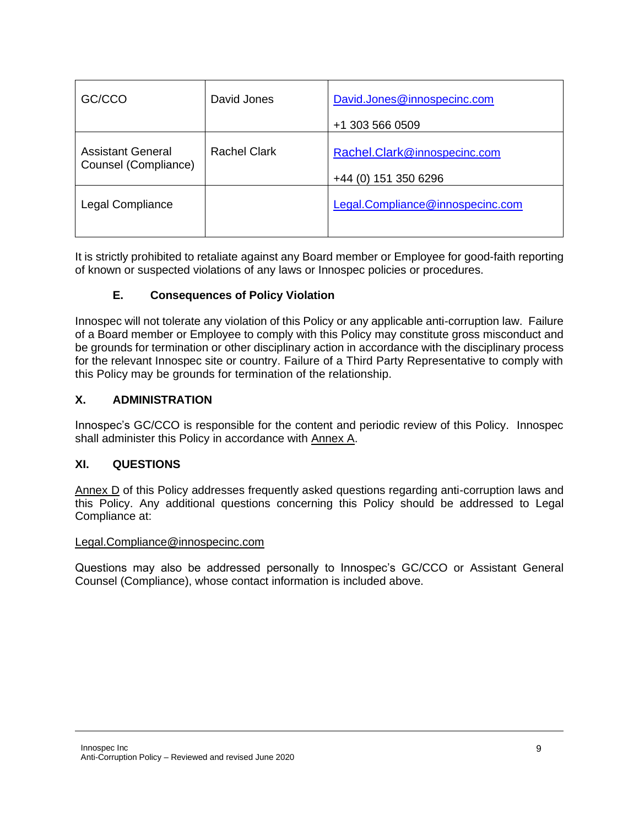| GC/CCO                                           | David Jones         | David.Jones@innospecinc.com<br>+1 303 566 0509       |
|--------------------------------------------------|---------------------|------------------------------------------------------|
| <b>Assistant General</b><br>Counsel (Compliance) | <b>Rachel Clark</b> | Rachel.Clark@innospecinc.com<br>+44 (0) 151 350 6296 |
| Legal Compliance                                 |                     | Legal.Compliance@innospecinc.com                     |

It is strictly prohibited to retaliate against any Board member or Employee for good-faith reporting of known or suspected violations of any laws or Innospec policies or procedures.

### **E. Consequences of Policy Violation**

Innospec will not tolerate any violation of this Policy or any applicable anti-corruption law. Failure of a Board member or Employee to comply with this Policy may constitute gross misconduct and be grounds for termination or other disciplinary action in accordance with the disciplinary process for the relevant Innospec site or country. Failure of a Third Party Representative to comply with this Policy may be grounds for termination of the relationship.

### **X. ADMINISTRATION**

Innospec's GC/CCO is responsible for the content and periodic review of this Policy. Innospec shall administer this Policy in accordance with Annex A.

### **XI. QUESTIONS**

Annex D of this Policy addresses frequently asked questions regarding anti-corruption laws and this Policy. Any additional questions concerning this Policy should be addressed to Legal Compliance at:

### Legal.Compliance@innospecinc.com

Questions may also be addressed personally to Innospec's GC/CCO or Assistant General Counsel (Compliance), whose contact information is included above.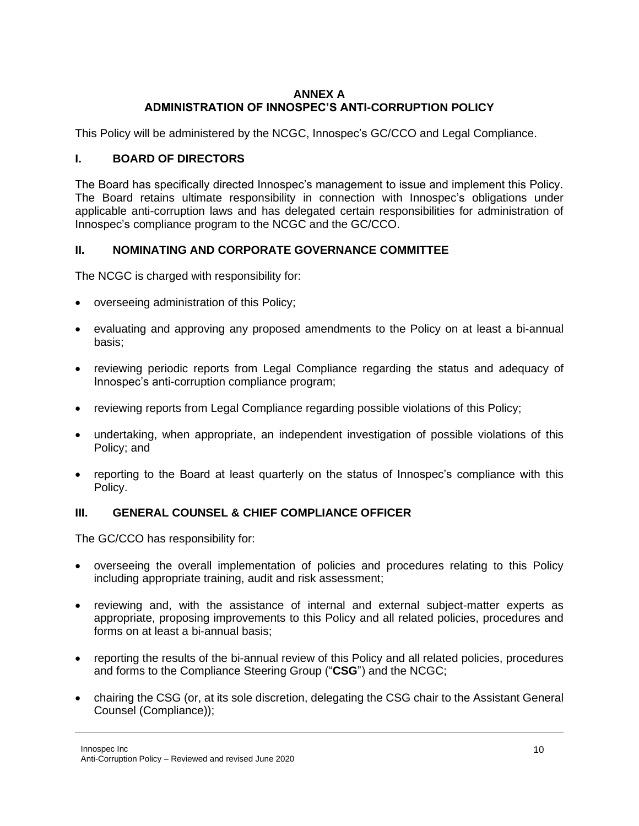### **ANNEX A ADMINISTRATION OF INNOSPEC'S ANTI-CORRUPTION POLICY**

This Policy will be administered by the NCGC, Innospec's GC/CCO and Legal Compliance.

### **I. BOARD OF DIRECTORS**

The Board has specifically directed Innospec's management to issue and implement this Policy. The Board retains ultimate responsibility in connection with Innospec's obligations under applicable anti-corruption laws and has delegated certain responsibilities for administration of Innospec's compliance program to the NCGC and the GC/CCO.

### **II. NOMINATING AND CORPORATE GOVERNANCE COMMITTEE**

The NCGC is charged with responsibility for:

- overseeing administration of this Policy;
- evaluating and approving any proposed amendments to the Policy on at least a bi-annual basis;
- reviewing periodic reports from Legal Compliance regarding the status and adequacy of Innospec's anti-corruption compliance program;
- reviewing reports from Legal Compliance regarding possible violations of this Policy;
- undertaking, when appropriate, an independent investigation of possible violations of this Policy; and
- reporting to the Board at least quarterly on the status of Innospec's compliance with this Policy.

# **III. GENERAL COUNSEL & CHIEF COMPLIANCE OFFICER**

The GC/CCO has responsibility for:

- overseeing the overall implementation of policies and procedures relating to this Policy including appropriate training, audit and risk assessment;
- reviewing and, with the assistance of internal and external subject-matter experts as appropriate, proposing improvements to this Policy and all related policies, procedures and forms on at least a bi-annual basis;
- reporting the results of the bi-annual review of this Policy and all related policies, procedures and forms to the Compliance Steering Group ("**CSG**") and the NCGC;
- chairing the CSG (or, at its sole discretion, delegating the CSG chair to the Assistant General Counsel (Compliance));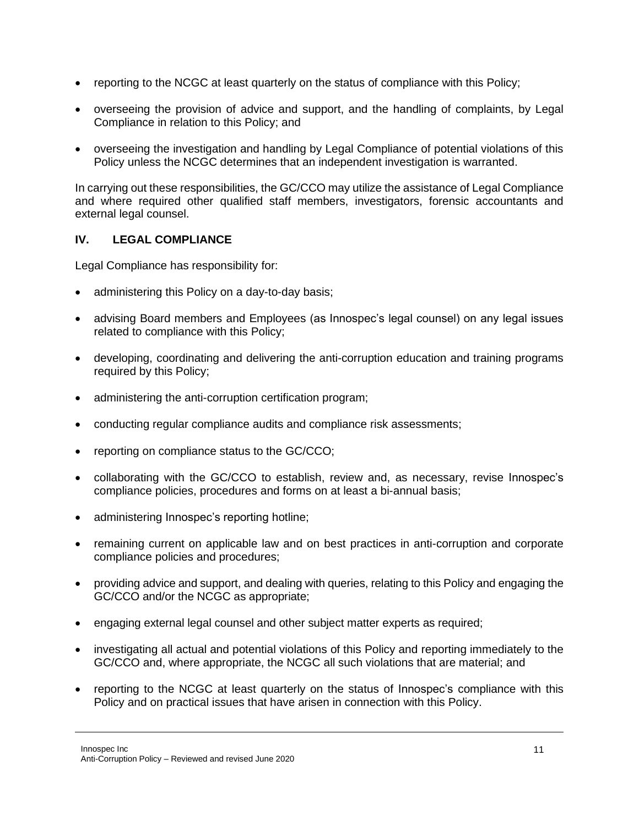- reporting to the NCGC at least quarterly on the status of compliance with this Policy;
- overseeing the provision of advice and support, and the handling of complaints, by Legal Compliance in relation to this Policy; and
- overseeing the investigation and handling by Legal Compliance of potential violations of this Policy unless the NCGC determines that an independent investigation is warranted.

In carrying out these responsibilities, the GC/CCO may utilize the assistance of Legal Compliance and where required other qualified staff members, investigators, forensic accountants and external legal counsel.

### **IV. LEGAL COMPLIANCE**

Legal Compliance has responsibility for:

- administering this Policy on a day-to-day basis;
- advising Board members and Employees (as Innospec's legal counsel) on any legal issues related to compliance with this Policy;
- developing, coordinating and delivering the anti-corruption education and training programs required by this Policy;
- administering the anti-corruption certification program;
- conducting regular compliance audits and compliance risk assessments;
- reporting on compliance status to the GC/CCO;
- collaborating with the GC/CCO to establish, review and, as necessary, revise Innospec's compliance policies, procedures and forms on at least a bi-annual basis;
- administering Innospec's reporting hotline;
- remaining current on applicable law and on best practices in anti-corruption and corporate compliance policies and procedures;
- providing advice and support, and dealing with queries, relating to this Policy and engaging the GC/CCO and/or the NCGC as appropriate;
- engaging external legal counsel and other subject matter experts as required;
- investigating all actual and potential violations of this Policy and reporting immediately to the GC/CCO and, where appropriate, the NCGC all such violations that are material; and
- reporting to the NCGC at least quarterly on the status of Innospec's compliance with this Policy and on practical issues that have arisen in connection with this Policy.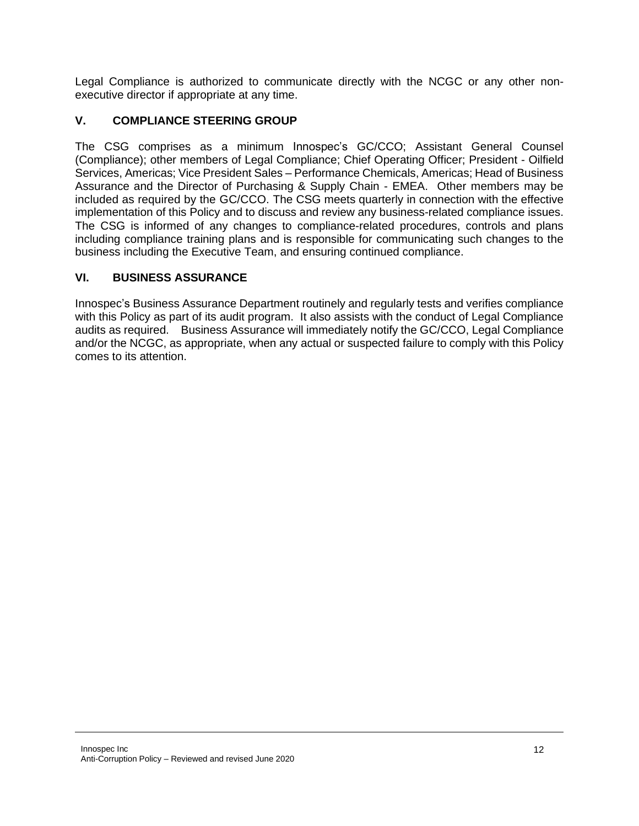Legal Compliance is authorized to communicate directly with the NCGC or any other nonexecutive director if appropriate at any time.

## **V. COMPLIANCE STEERING GROUP**

The CSG comprises as a minimum Innospec's GC/CCO; Assistant General Counsel (Compliance); other members of Legal Compliance; Chief Operating Officer; President - Oilfield Services, Americas; Vice President Sales – Performance Chemicals, Americas; Head of Business Assurance and the Director of Purchasing & Supply Chain - EMEA. Other members may be included as required by the GC/CCO. The CSG meets quarterly in connection with the effective implementation of this Policy and to discuss and review any business-related compliance issues. The CSG is informed of any changes to compliance-related procedures, controls and plans including compliance training plans and is responsible for communicating such changes to the business including the Executive Team, and ensuring continued compliance.

## **VI. BUSINESS ASSURANCE**

Innospec's Business Assurance Department routinely and regularly tests and verifies compliance with this Policy as part of its audit program. It also assists with the conduct of Legal Compliance audits as required. Business Assurance will immediately notify the GC/CCO, Legal Compliance and/or the NCGC, as appropriate, when any actual or suspected failure to comply with this Policy comes to its attention.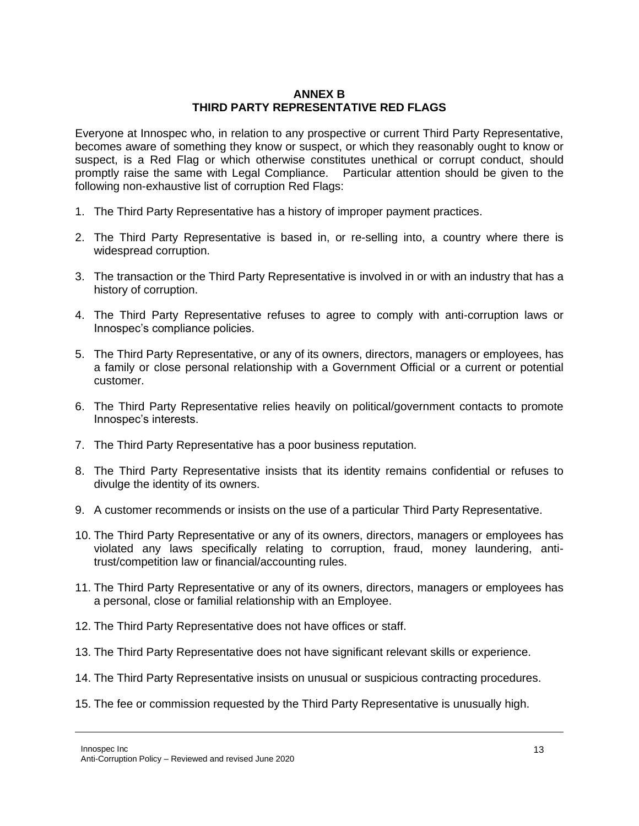#### **ANNEX B THIRD PARTY REPRESENTATIVE RED FLAGS**

Everyone at Innospec who, in relation to any prospective or current Third Party Representative, becomes aware of something they know or suspect, or which they reasonably ought to know or suspect, is a Red Flag or which otherwise constitutes unethical or corrupt conduct, should promptly raise the same with Legal Compliance. Particular attention should be given to the following non-exhaustive list of corruption Red Flags:

- 1. The Third Party Representative has a history of improper payment practices.
- 2. The Third Party Representative is based in, or re-selling into, a country where there is widespread corruption.
- 3. The transaction or the Third Party Representative is involved in or with an industry that has a history of corruption.
- 4. The Third Party Representative refuses to agree to comply with anti-corruption laws or Innospec's compliance policies.
- 5. The Third Party Representative, or any of its owners, directors, managers or employees, has a family or close personal relationship with a Government Official or a current or potential customer.
- 6. The Third Party Representative relies heavily on political/government contacts to promote Innospec's interests.
- 7. The Third Party Representative has a poor business reputation.
- 8. The Third Party Representative insists that its identity remains confidential or refuses to divulge the identity of its owners.
- 9. A customer recommends or insists on the use of a particular Third Party Representative.
- 10. The Third Party Representative or any of its owners, directors, managers or employees has violated any laws specifically relating to corruption, fraud, money laundering, antitrust/competition law or financial/accounting rules.
- 11. The Third Party Representative or any of its owners, directors, managers or employees has a personal, close or familial relationship with an Employee.
- 12. The Third Party Representative does not have offices or staff.
- 13. The Third Party Representative does not have significant relevant skills or experience.
- 14. The Third Party Representative insists on unusual or suspicious contracting procedures.
- 15. The fee or commission requested by the Third Party Representative is unusually high.

Innospec Inc Anti-Corruption Policy – Reviewed and revised June 2020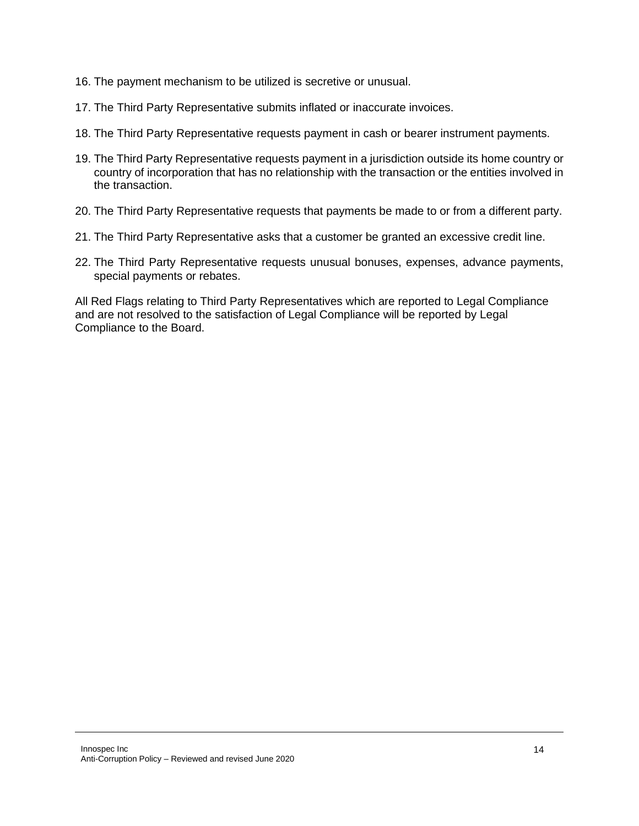- 16. The payment mechanism to be utilized is secretive or unusual.
- 17. The Third Party Representative submits inflated or inaccurate invoices.
- 18. The Third Party Representative requests payment in cash or bearer instrument payments.
- 19. The Third Party Representative requests payment in a jurisdiction outside its home country or country of incorporation that has no relationship with the transaction or the entities involved in the transaction.
- 20. The Third Party Representative requests that payments be made to or from a different party.
- 21. The Third Party Representative asks that a customer be granted an excessive credit line.
- 22. The Third Party Representative requests unusual bonuses, expenses, advance payments, special payments or rebates.

All Red Flags relating to Third Party Representatives which are reported to Legal Compliance and are not resolved to the satisfaction of Legal Compliance will be reported by Legal Compliance to the Board.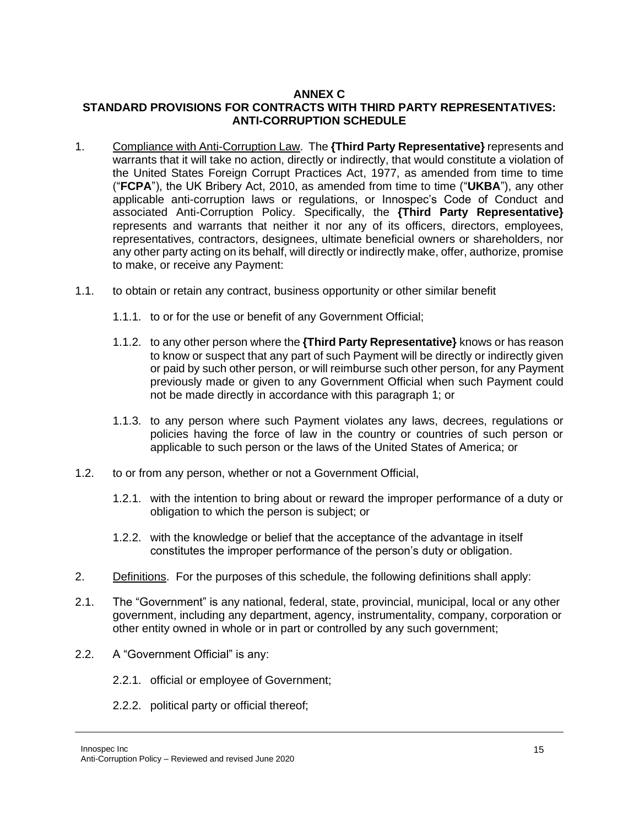#### **ANNEX C STANDARD PROVISIONS FOR CONTRACTS WITH THIRD PARTY REPRESENTATIVES: ANTI-CORRUPTION SCHEDULE**

- 1. Compliance with Anti-Corruption Law. The **{Third Party Representative}** represents and warrants that it will take no action, directly or indirectly, that would constitute a violation of the United States Foreign Corrupt Practices Act, 1977, as amended from time to time ("**FCPA**"), the UK Bribery Act, 2010, as amended from time to time ("**UKBA**"), any other applicable anti-corruption laws or regulations, or Innospec's Code of Conduct and associated Anti-Corruption Policy. Specifically, the **{Third Party Representative}** represents and warrants that neither it nor any of its officers, directors, employees, representatives, contractors, designees, ultimate beneficial owners or shareholders, nor any other party acting on its behalf, will directly or indirectly make, offer, authorize, promise to make, or receive any Payment:
- 1.1. to obtain or retain any contract, business opportunity or other similar benefit
	- 1.1.1. to or for the use or benefit of any Government Official;
	- 1.1.2. to any other person where the **{Third Party Representative}** knows or has reason to know or suspect that any part of such Payment will be directly or indirectly given or paid by such other person, or will reimburse such other person, for any Payment previously made or given to any Government Official when such Payment could not be made directly in accordance with this paragraph 1; or
	- 1.1.3. to any person where such Payment violates any laws, decrees, regulations or policies having the force of law in the country or countries of such person or applicable to such person or the laws of the United States of America; or
- 1.2. to or from any person, whether or not a Government Official,
	- 1.2.1. with the intention to bring about or reward the improper performance of a duty or obligation to which the person is subject; or
	- 1.2.2. with the knowledge or belief that the acceptance of the advantage in itself constitutes the improper performance of the person's duty or obligation.
- 2. Definitions. For the purposes of this schedule, the following definitions shall apply:
- 2.1. The "Government" is any national, federal, state, provincial, municipal, local or any other government, including any department, agency, instrumentality, company, corporation or other entity owned in whole or in part or controlled by any such government;
- 2.2. A "Government Official" is any:
	- 2.2.1. official or employee of Government;
	- 2.2.2. political party or official thereof;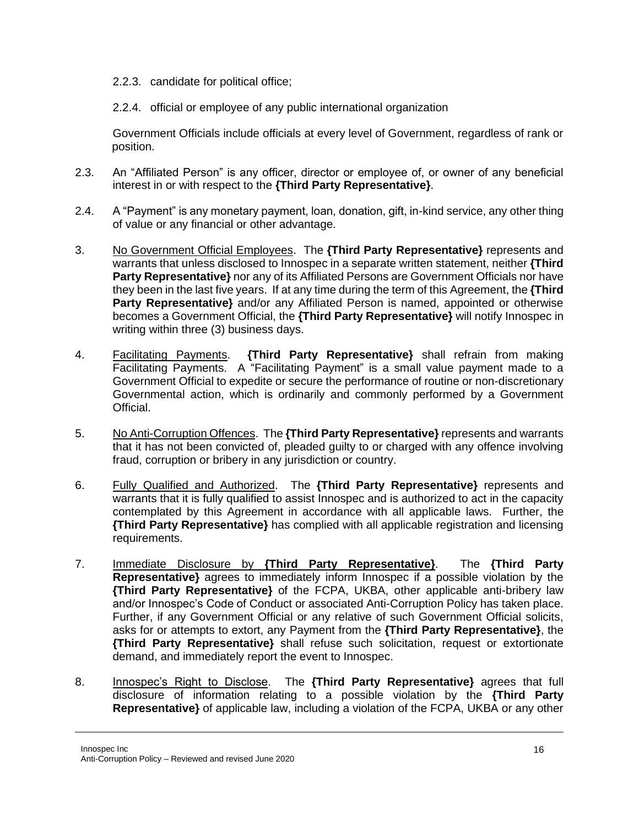- 2.2.3. candidate for political office;
- 2.2.4. official or employee of any public international organization

Government Officials include officials at every level of Government, regardless of rank or position.

- 2.3. An "Affiliated Person" is any officer, director or employee of, or owner of any beneficial interest in or with respect to the **{Third Party Representative}**.
- 2.4. A "Payment" is any monetary payment, loan, donation, gift, in-kind service, any other thing of value or any financial or other advantage.
- 3. No Government Official Employees. The **{Third Party Representative}** represents and warrants that unless disclosed to Innospec in a separate written statement, neither **{Third Party Representative}** nor any of its Affiliated Persons are Government Officials nor have they been in the last five years. If at any time during the term of this Agreement, the **{Third Party Representative**} and/or any Affiliated Person is named, appointed or otherwise becomes a Government Official, the **{Third Party Representative}** will notify Innospec in writing within three (3) business days.
- 4. Facilitating Payments. **{Third Party Representative}** shall refrain from making Facilitating Payments. A "Facilitating Payment" is a small value payment made to a Government Official to expedite or secure the performance of routine or non-discretionary Governmental action, which is ordinarily and commonly performed by a Government Official.
- 5. No Anti-Corruption Offences. The **{Third Party Representative}** represents and warrants that it has not been convicted of, pleaded guilty to or charged with any offence involving fraud, corruption or bribery in any jurisdiction or country.
- 6. Fully Qualified and Authorized. The **{Third Party Representative}** represents and warrants that it is fully qualified to assist Innospec and is authorized to act in the capacity contemplated by this Agreement in accordance with all applicable laws. Further, the **{Third Party Representative}** has complied with all applicable registration and licensing requirements.
- 7. Immediate Disclosure by **{Third Party Representative}**. The **{Third Party Representative}** agrees to immediately inform Innospec if a possible violation by the **{Third Party Representative}** of the FCPA, UKBA, other applicable anti-bribery law and/or Innospec's Code of Conduct or associated Anti-Corruption Policy has taken place. Further, if any Government Official or any relative of such Government Official solicits, asks for or attempts to extort, any Payment from the **{Third Party Representative}**, the **{Third Party Representative}** shall refuse such solicitation, request or extortionate demand, and immediately report the event to Innospec.
- 8. Innospec's Right to Disclose. The **{Third Party Representative}** agrees that full disclosure of information relating to a possible violation by the **{Third Party Representative}** of applicable law, including a violation of the FCPA, UKBA or any other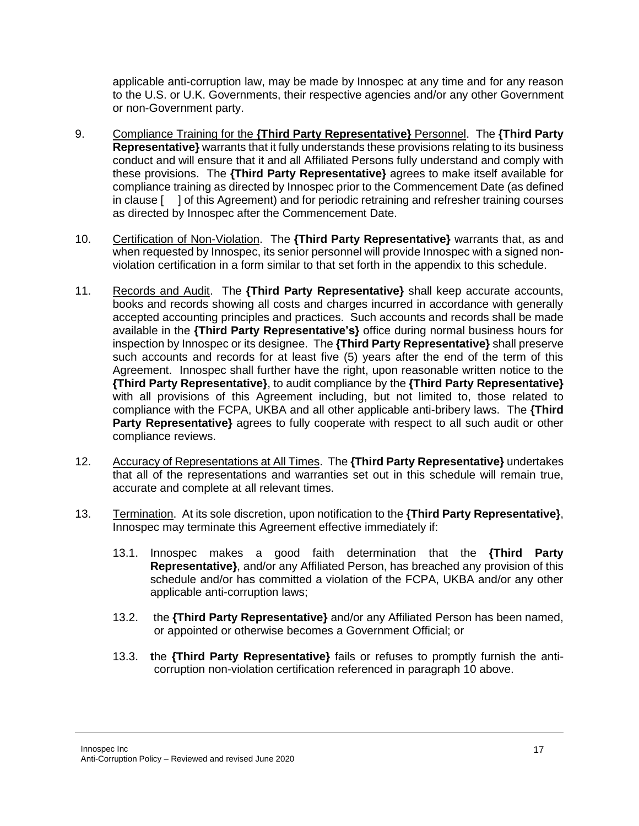applicable anti-corruption law, may be made by Innospec at any time and for any reason to the U.S. or U.K. Governments, their respective agencies and/or any other Government or non-Government party.

- 9. Compliance Training for the **{Third Party Representative}** Personnel. The **{Third Party Representative}** warrants that it fully understands these provisions relating to its business conduct and will ensure that it and all Affiliated Persons fully understand and comply with these provisions. The **{Third Party Representative}** agrees to make itself available for compliance training as directed by Innospec prior to the Commencement Date (as defined in clause [ ] of this Agreement) and for periodic retraining and refresher training courses as directed by Innospec after the Commencement Date.
- 10. Certification of Non-Violation. The **{Third Party Representative}** warrants that, as and when requested by Innospec, its senior personnel will provide Innospec with a signed nonviolation certification in a form similar to that set forth in the appendix to this schedule.
- 11. Records and Audit. The **{Third Party Representative}** shall keep accurate accounts, books and records showing all costs and charges incurred in accordance with generally accepted accounting principles and practices. Such accounts and records shall be made available in the **{Third Party Representative's}** office during normal business hours for inspection by Innospec or its designee. The **{Third Party Representative}** shall preserve such accounts and records for at least five (5) years after the end of the term of this Agreement. Innospec shall further have the right, upon reasonable written notice to the **{Third Party Representative}**, to audit compliance by the **{Third Party Representative}** with all provisions of this Agreement including, but not limited to, those related to compliance with the FCPA, UKBA and all other applicable anti-bribery laws. The **{Third Party Representative**} agrees to fully cooperate with respect to all such audit or other compliance reviews.
- 12. Accuracy of Representations at All Times. The **{Third Party Representative}** undertakes that all of the representations and warranties set out in this schedule will remain true, accurate and complete at all relevant times.
- 13. Termination. At its sole discretion, upon notification to the **{Third Party Representative}**, Innospec may terminate this Agreement effective immediately if:
	- 13.1. Innospec makes a good faith determination that the **{Third Party Representative}**, and/or any Affiliated Person, has breached any provision of this schedule and/or has committed a violation of the FCPA, UKBA and/or any other applicable anti-corruption laws;
	- 13.2. the **{Third Party Representative}** and/or any Affiliated Person has been named, or appointed or otherwise becomes a Government Official; or
	- 13.3. **t**he **{Third Party Representative}** fails or refuses to promptly furnish the anticorruption non-violation certification referenced in paragraph 10 above.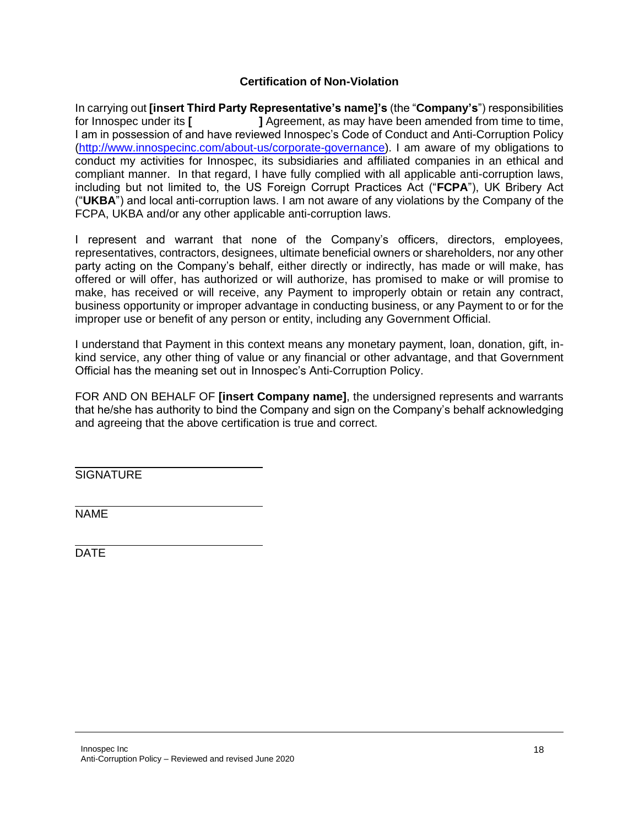### **Certification of Non-Violation**

In carrying out **[insert Third Party Representative's name]'s** (the "**Company's**") responsibilities for Innospec under its **[ ]** Agreement, as may have been amended from time to time, I am in possession of and have reviewed Innospec's Code of Conduct and Anti-Corruption Policy [\(http://www.innospecinc.com/about-us/corporate-governance\)](http://www.innospecinc.com/about-us/corporate-governance). I am aware of my obligations to conduct my activities for Innospec, its subsidiaries and affiliated companies in an ethical and compliant manner. In that regard, I have fully complied with all applicable anti-corruption laws, including but not limited to, the US Foreign Corrupt Practices Act ("**FCPA**"), UK Bribery Act ("**UKBA**") and local anti-corruption laws. I am not aware of any violations by the Company of the FCPA, UKBA and/or any other applicable anti-corruption laws.

I represent and warrant that none of the Company's officers, directors, employees, representatives, contractors, designees, ultimate beneficial owners or shareholders, nor any other party acting on the Company's behalf, either directly or indirectly, has made or will make, has offered or will offer, has authorized or will authorize, has promised to make or will promise to make, has received or will receive, any Payment to improperly obtain or retain any contract, business opportunity or improper advantage in conducting business, or any Payment to or for the improper use or benefit of any person or entity, including any Government Official.

I understand that Payment in this context means any monetary payment, loan, donation, gift, inkind service, any other thing of value or any financial or other advantage, and that Government Official has the meaning set out in Innospec's Anti-Corruption Policy.

FOR AND ON BEHALF OF **[insert Company name]**, the undersigned represents and warrants that he/she has authority to bind the Company and sign on the Company's behalf acknowledging and agreeing that the above certification is true and correct.

**SIGNATURE** 

NAME

DATE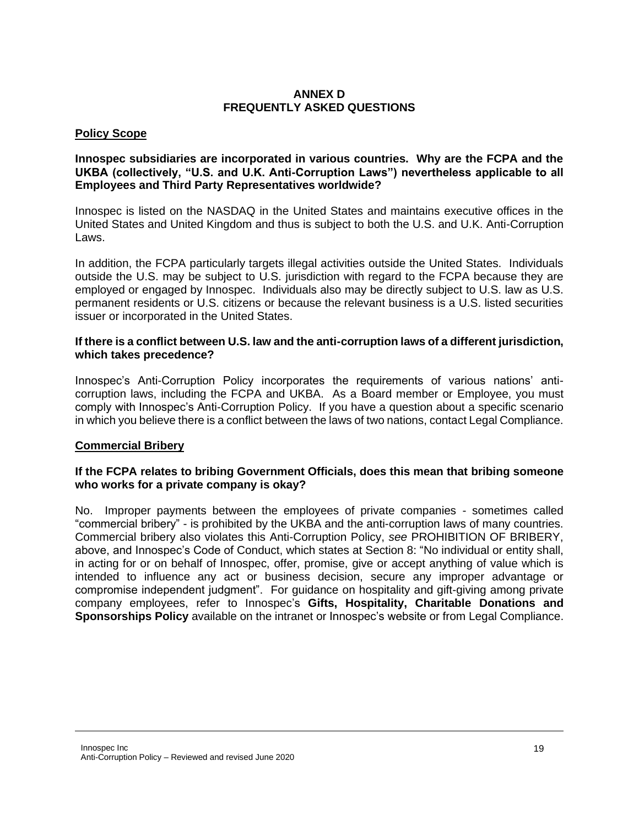#### **ANNEX D FREQUENTLY ASKED QUESTIONS**

### **Policy Scope**

#### **Innospec subsidiaries are incorporated in various countries. Why are the FCPA and the UKBA (collectively, "U.S. and U.K. Anti-Corruption Laws") nevertheless applicable to all Employees and Third Party Representatives worldwide?**

Innospec is listed on the NASDAQ in the United States and maintains executive offices in the United States and United Kingdom and thus is subject to both the U.S. and U.K. Anti-Corruption Laws.

In addition, the FCPA particularly targets illegal activities outside the United States. Individuals outside the U.S. may be subject to U.S. jurisdiction with regard to the FCPA because they are employed or engaged by Innospec. Individuals also may be directly subject to U.S. law as U.S. permanent residents or U.S. citizens or because the relevant business is a U.S. listed securities issuer or incorporated in the United States.

#### **If there is a conflict between U.S. law and the anti-corruption laws of a different jurisdiction, which takes precedence?**

Innospec's Anti-Corruption Policy incorporates the requirements of various nations' anticorruption laws, including the FCPA and UKBA. As a Board member or Employee, you must comply with Innospec's Anti-Corruption Policy. If you have a question about a specific scenario in which you believe there is a conflict between the laws of two nations, contact Legal Compliance.

### **Commercial Bribery**

#### **If the FCPA relates to bribing Government Officials, does this mean that bribing someone who works for a private company is okay?**

No. Improper payments between the employees of private companies - sometimes called "commercial bribery" - is prohibited by the UKBA and the anti-corruption laws of many countries. Commercial bribery also violates this Anti-Corruption Policy, *see* PROHIBITION OF BRIBERY, above, and Innospec's Code of Conduct, which states at Section 8: "No individual or entity shall, in acting for or on behalf of Innospec, offer, promise, give or accept anything of value which is intended to influence any act or business decision, secure any improper advantage or compromise independent judgment". For guidance on hospitality and gift-giving among private company employees, refer to Innospec's **Gifts, Hospitality, Charitable Donations and Sponsorships Policy** available on the intranet or Innospec's website or from Legal Compliance.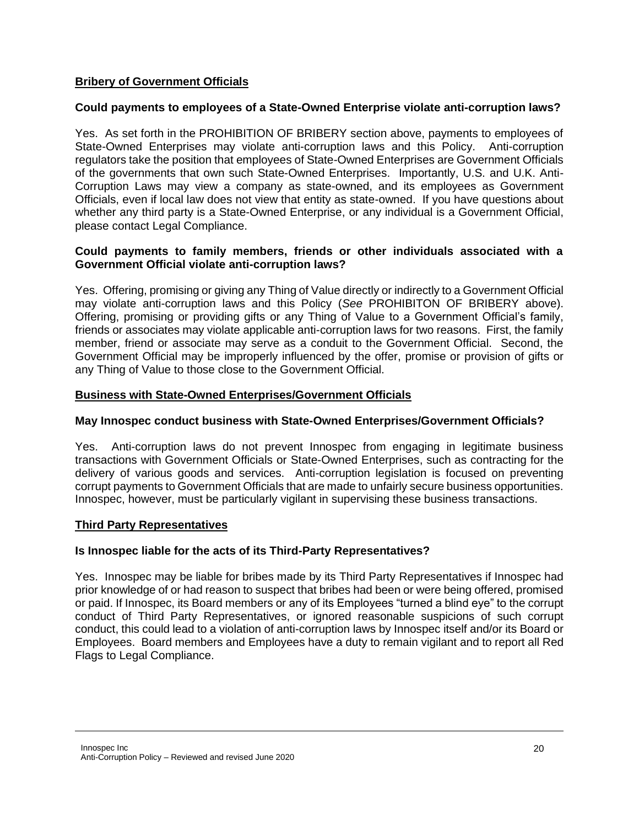### **Bribery of Government Officials**

### **Could payments to employees of a State-Owned Enterprise violate anti-corruption laws?**

Yes. As set forth in the PROHIBITION OF BRIBERY section above, payments to employees of State-Owned Enterprises may violate anti-corruption laws and this Policy. Anti-corruption regulators take the position that employees of State-Owned Enterprises are Government Officials of the governments that own such State-Owned Enterprises. Importantly, U.S. and U.K. Anti-Corruption Laws may view a company as state-owned, and its employees as Government Officials, even if local law does not view that entity as state-owned. If you have questions about whether any third party is a State-Owned Enterprise, or any individual is a Government Official, please contact Legal Compliance.

#### **Could payments to family members, friends or other individuals associated with a Government Official violate anti-corruption laws?**

Yes. Offering, promising or giving any Thing of Value directly or indirectly to a Government Official may violate anti-corruption laws and this Policy (*See* PROHIBITON OF BRIBERY above). Offering, promising or providing gifts or any Thing of Value to a Government Official's family, friends or associates may violate applicable anti-corruption laws for two reasons. First, the family member, friend or associate may serve as a conduit to the Government Official. Second, the Government Official may be improperly influenced by the offer, promise or provision of gifts or any Thing of Value to those close to the Government Official.

### **Business with State-Owned Enterprises/Government Officials**

#### **May Innospec conduct business with State-Owned Enterprises/Government Officials?**

Yes. Anti-corruption laws do not prevent Innospec from engaging in legitimate business transactions with Government Officials or State-Owned Enterprises, such as contracting for the delivery of various goods and services. Anti-corruption legislation is focused on preventing corrupt payments to Government Officials that are made to unfairly secure business opportunities. Innospec, however, must be particularly vigilant in supervising these business transactions.

### **Third Party Representatives**

### **Is Innospec liable for the acts of its Third-Party Representatives?**

Yes. Innospec may be liable for bribes made by its Third Party Representatives if Innospec had prior knowledge of or had reason to suspect that bribes had been or were being offered, promised or paid. If Innospec, its Board members or any of its Employees "turned a blind eye" to the corrupt conduct of Third Party Representatives, or ignored reasonable suspicions of such corrupt conduct, this could lead to a violation of anti-corruption laws by Innospec itself and/or its Board or Employees. Board members and Employees have a duty to remain vigilant and to report all Red Flags to Legal Compliance.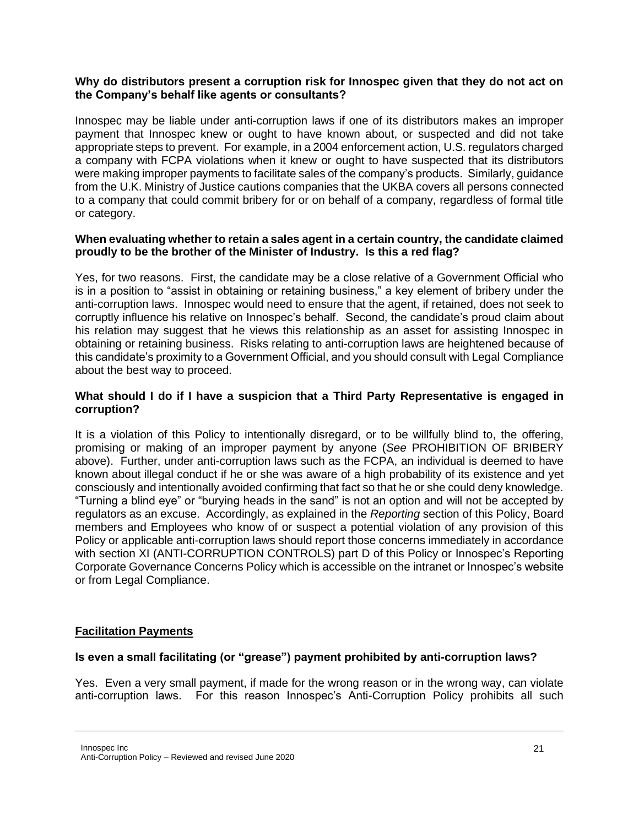#### **Why do distributors present a corruption risk for Innospec given that they do not act on the Company's behalf like agents or consultants?**

Innospec may be liable under anti-corruption laws if one of its distributors makes an improper payment that Innospec knew or ought to have known about, or suspected and did not take appropriate steps to prevent. For example, in a 2004 enforcement action, U.S. regulators charged a company with FCPA violations when it knew or ought to have suspected that its distributors were making improper payments to facilitate sales of the company's products. Similarly, guidance from the U.K. Ministry of Justice cautions companies that the UKBA covers all persons connected to a company that could commit bribery for or on behalf of a company, regardless of formal title or category.

#### **When evaluating whether to retain a sales agent in a certain country, the candidate claimed proudly to be the brother of the Minister of Industry. Is this a red flag?**

Yes, for two reasons. First, the candidate may be a close relative of a Government Official who is in a position to "assist in obtaining or retaining business," a key element of bribery under the anti-corruption laws. Innospec would need to ensure that the agent, if retained, does not seek to corruptly influence his relative on Innospec's behalf. Second, the candidate's proud claim about his relation may suggest that he views this relationship as an asset for assisting Innospec in obtaining or retaining business. Risks relating to anti-corruption laws are heightened because of this candidate's proximity to a Government Official, and you should consult with Legal Compliance about the best way to proceed.

### **What should I do if I have a suspicion that a Third Party Representative is engaged in corruption?**

It is a violation of this Policy to intentionally disregard, or to be willfully blind to, the offering, promising or making of an improper payment by anyone (*See* PROHIBITION OF BRIBERY above). Further, under anti-corruption laws such as the FCPA, an individual is deemed to have known about illegal conduct if he or she was aware of a high probability of its existence and yet consciously and intentionally avoided confirming that fact so that he or she could deny knowledge. "Turning a blind eye" or "burying heads in the sand" is not an option and will not be accepted by regulators as an excuse. Accordingly, as explained in the *Reporting* section of this Policy, Board members and Employees who know of or suspect a potential violation of any provision of this Policy or applicable anti-corruption laws should report those concerns immediately in accordance with section XI (ANTI-CORRUPTION CONTROLS) part D of this Policy or Innospec's Reporting Corporate Governance Concerns Policy which is accessible on the intranet or Innospec's website or from Legal Compliance.

### **Facilitation Payments**

### **Is even a small facilitating (or "grease") payment prohibited by anti-corruption laws?**

Yes. Even a very small payment, if made for the wrong reason or in the wrong way, can violate anti-corruption laws. For this reason Innospec's Anti-Corruption Policy prohibits all such